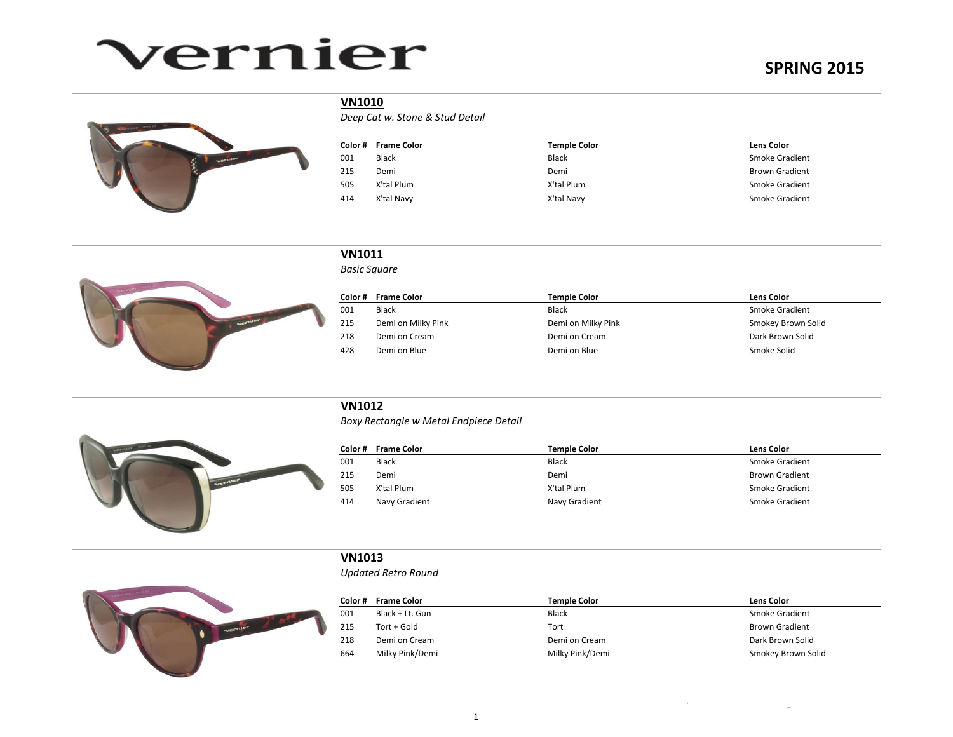# vernier



### **VN1010**

*Deep Cat w. Stone & Stud Detail* 

| Color# | <b>Frame Color</b> | Temple Color | <b>Lens Color</b>     |
|--------|--------------------|--------------|-----------------------|
| 001    | <b>Black</b>       | <b>Black</b> | Smoke Gradient        |
| 215    | Demi               | Demi         | <b>Brown Gradient</b> |
| 505    | X'tal Plum         | X'tal Plum   | Smoke Gradient        |
| 414    | X'tal Navy         | X'tal Navy   | Smoke Gradient        |



### **VN1011**

*Basic Square*

| Color # | <b>Frame Color</b> | <b>Temple Color</b> | Lens Color         |
|---------|--------------------|---------------------|--------------------|
| 001     | Black              | <b>Black</b>        | Smoke Gradient     |
| 215     | Demi on Milky Pink | Demi on Milky Pink  | Smokey Brown Solid |
| 218     | Demi on Cream      | Demi on Cream       | Dark Brown Solid   |
| 428     | Demi on Blue       | Demi on Blue        | Smoke Solid        |



## **VN1012**

*Boxy Rectangle w Metal Endpiece Detail*

| Color# | <b>Frame Color</b> | <b>Temple Color</b> | <b>Lens Color</b>     |
|--------|--------------------|---------------------|-----------------------|
| 001    | <b>Black</b>       | Black               | Smoke Gradient        |
| 215    | Demi               | Demi                | <b>Brown Gradient</b> |
| 505    | X'tal Plum         | X'tal Plum          | Smoke Gradient        |
| 414    | Navy Gradient      | Navy Gradient       | Smoke Gradient        |



### **VN1013**

*Updated Retro Round*

| Color# | <b>Frame Color</b> | Temple Color    | <b>Lens Color</b>     |
|--------|--------------------|-----------------|-----------------------|
| 001    | Black + Lt. Gun    | Black           | Smoke Gradient        |
| 215    | Tort + Gold        | Tort            | <b>Brown Gradient</b> |
| 218    | Demi on Cream      | Demi on Cream   | Dark Brown Solid      |
| 664    | Milky Pink/Demi    | Milky Pink/Demi | Smokey Brown Solid    |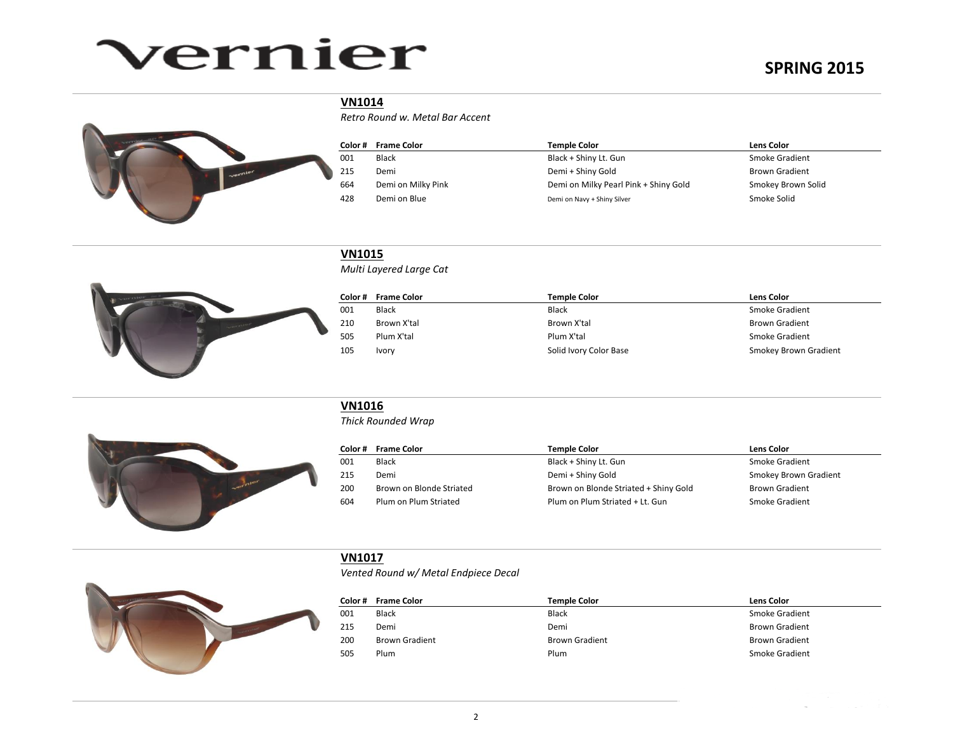# vernier

# **SPRING 2015**



#### **VN1014**

*Retro Round w. Metal Bar Accent*

| Color # | <b>Frame Color</b> | Temple Color                          | Lens Color            |
|---------|--------------------|---------------------------------------|-----------------------|
| 001     | Black              | Black + Shiny Lt. Gun                 | Smoke Gradient        |
| 215     | Demi               | Demi + Shiny Gold                     | <b>Brown Gradient</b> |
| 664     | Demi on Milky Pink | Demi on Milky Pearl Pink + Shiny Gold | Smokey Brown Solid    |
| 428     | Demi on Blue       | Demi on Navy + Shiny Silver           | Smoke Solid           |



#### **VN1015**

*Multi Layered Large Cat*

| Color # | Frame Color  | <b>Temple Color</b>    | <b>Lens Color</b>     |
|---------|--------------|------------------------|-----------------------|
| 001     | Black        | <b>Black</b>           | Smoke Gradient        |
| 210     | Brown X'tal  | Brown X'tal            | <b>Brown Gradient</b> |
| 505     | Plum X'tal   | Plum X'tal             | Smoke Gradient        |
| 105     | <b>Ivory</b> | Solid Ivory Color Base | Smokey Brown Gradient |



#### **VN1016**

*Thick Rounded Wrap*

|     | Color # Frame Color      | <b>Temple Color</b>                   | <b>Lens Color</b>     |
|-----|--------------------------|---------------------------------------|-----------------------|
| 001 | Black                    | Black + Shiny Lt. Gun                 | Smoke Gradient        |
| 215 | Demi                     | Demi + Shiny Gold                     | Smokey Brown Gradient |
| 200 | Brown on Blonde Striated | Brown on Blonde Striated + Shiny Gold | <b>Brown Gradient</b> |
| 604 | Plum on Plum Striated    | Plum on Plum Striated + Lt. Gun       | Smoke Gradient        |



## **VN1017**

*Vented Round w/ Metal Endpiece Decal*

| Color# | <b>Frame Color</b>    | Temple Color          | <b>Lens Color</b>     |
|--------|-----------------------|-----------------------|-----------------------|
| 001    | <b>Black</b>          | <b>Black</b>          | Smoke Gradient        |
| 215    | Demi                  | Demi                  | <b>Brown Gradient</b> |
| 200    | <b>Brown Gradient</b> | <b>Brown Gradient</b> | <b>Brown Gradient</b> |
| 505    | Plum                  | Plum                  | Smoke Gradient        |